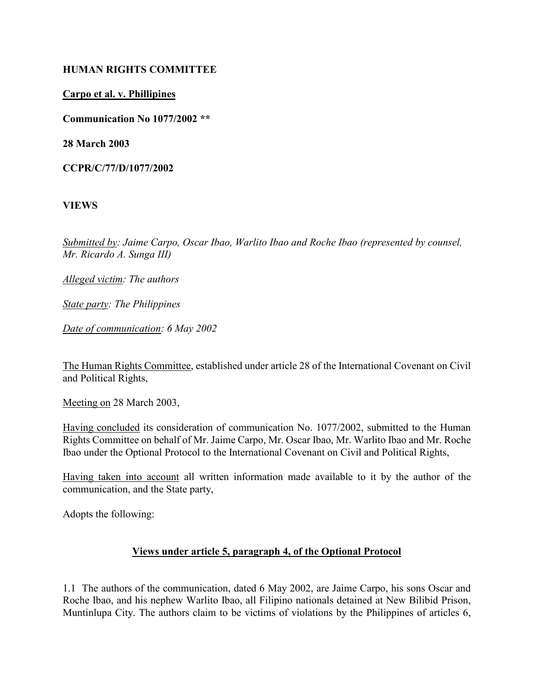#### HUMAN RIGHTS COMMITTEE

#### Carpo et al. v. Phillipines

Communication No 1077/2002 \*\*

28 March 2003

CCPR/C/77/D/1077/2002

#### VIEWS

Submitted by: Jaime Carpo, Oscar Ibao, Warlito Ibao and Roche Ibao (represented by counsel, Mr. Ricardo A. Sunga III)

Alleged victim: The authors

State party: The Philippines

Date of communication: 6 May 2002

The Human Rights Committee, established under article 28 of the International Covenant on Civil and Political Rights,

Meeting on 28 March 2003,

Having concluded its consideration of communication No. 1077/2002, submitted to the Human Rights Committee on behalf of Mr. Jaime Carpo, Mr. Oscar Ibao, Mr. Warlito Ibao and Mr. Roche Ibao under the Optional Protocol to the International Covenant on Civil and Political Rights,

Having taken into account all written information made available to it by the author of the communication, and the State party,

Adopts the following:

#### Views under article 5, paragraph 4, of the Optional Protocol

1.1 The authors of the communication, dated 6 May 2002, are Jaime Carpo, his sons Oscar and Roche Ibao, and his nephew Warlito Ibao, all Filipino nationals detained at New Bilibid Prison, Muntinlupa City. The authors claim to be victims of violations by the Philippines of articles 6,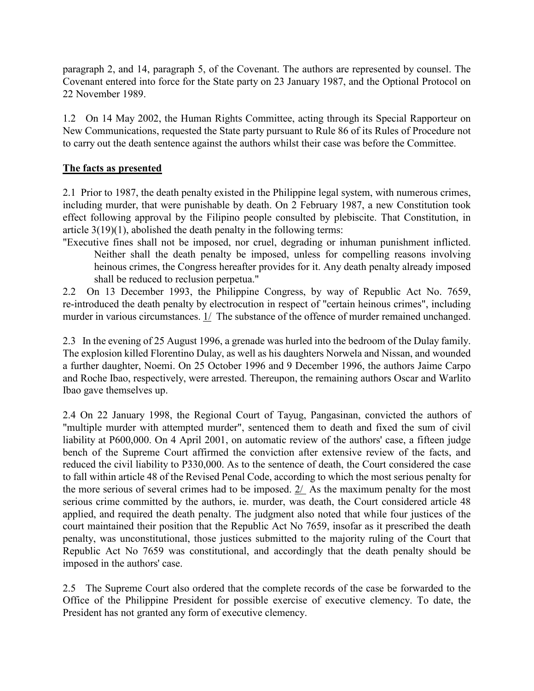paragraph 2, and 14, paragraph 5, of the Covenant. The authors are represented by counsel. The Covenant entered into force for the State party on 23 January 1987, and the Optional Protocol on 22 November 1989.

1.2 On 14 May 2002, the Human Rights Committee, acting through its Special Rapporteur on New Communications, requested the State party pursuant to Rule 86 of its Rules of Procedure not to carry out the death sentence against the authors whilst their case was before the Committee.

## The facts as presented

2.1 Prior to 1987, the death penalty existed in the Philippine legal system, with numerous crimes, including murder, that were punishable by death. On 2 February 1987, a new Constitution took effect following approval by the Filipino people consulted by plebiscite. That Constitution, in article 3(19)(1), abolished the death penalty in the following terms:

"Executive fines shall not be imposed, nor cruel, degrading or inhuman punishment inflicted. Neither shall the death penalty be imposed, unless for compelling reasons involving heinous crimes, the Congress hereafter provides for it. Any death penalty already imposed shall be reduced to reclusion perpetua."

2.2 On 13 December 1993, the Philippine Congress, by way of Republic Act No. 7659, re-introduced the death penalty by electrocution in respect of "certain heinous crimes", including murder in various circumstances.  $1/$  The substance of the offence of murder remained unchanged.

2.3 In the evening of 25 August 1996, a grenade was hurled into the bedroom of the Dulay family. The explosion killed Florentino Dulay, as well as his daughters Norwela and Nissan, and wounded a further daughter, Noemi. On 25 October 1996 and 9 December 1996, the authors Jaime Carpo and Roche Ibao, respectively, were arrested. Thereupon, the remaining authors Oscar and Warlito Ibao gave themselves up.

2.4 On 22 January 1998, the Regional Court of Tayug, Pangasinan, convicted the authors of "multiple murder with attempted murder", sentenced them to death and fixed the sum of civil liability at P600,000. On 4 April 2001, on automatic review of the authors' case, a fifteen judge bench of the Supreme Court affirmed the conviction after extensive review of the facts, and reduced the civil liability to P330,000. As to the sentence of death, the Court considered the case to fall within article 48 of the Revised Penal Code, according to which the most serious penalty for the more serious of several crimes had to be imposed. 2/ As the maximum penalty for the most serious crime committed by the authors, ie. murder, was death, the Court considered article 48 applied, and required the death penalty. The judgment also noted that while four justices of the court maintained their position that the Republic Act No 7659, insofar as it prescribed the death penalty, was unconstitutional, those justices submitted to the majority ruling of the Court that Republic Act No 7659 was constitutional, and accordingly that the death penalty should be imposed in the authors' case.

2.5 The Supreme Court also ordered that the complete records of the case be forwarded to the Office of the Philippine President for possible exercise of executive clemency. To date, the President has not granted any form of executive clemency.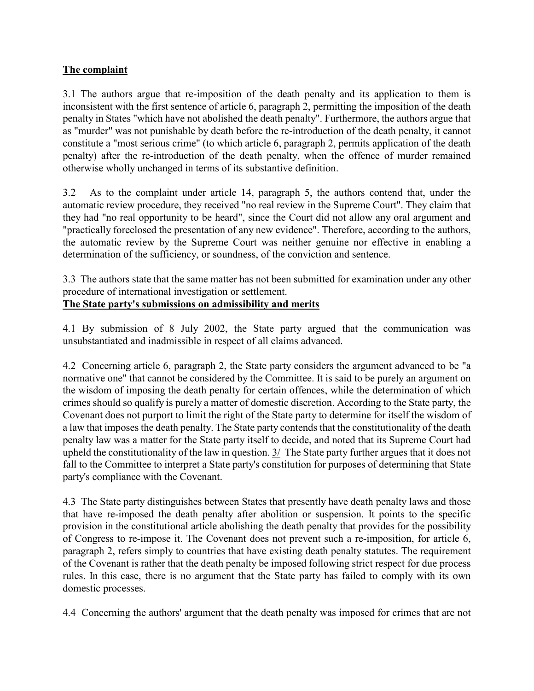## The complaint

3.1 The authors argue that re-imposition of the death penalty and its application to them is inconsistent with the first sentence of article 6, paragraph 2, permitting the imposition of the death penalty in States "which have not abolished the death penalty". Furthermore, the authors argue that as "murder" was not punishable by death before the re-introduction of the death penalty, it cannot constitute a "most serious crime" (to which article 6, paragraph 2, permits application of the death penalty) after the re-introduction of the death penalty, when the offence of murder remained otherwise wholly unchanged in terms of its substantive definition.

3.2 As to the complaint under article 14, paragraph 5, the authors contend that, under the automatic review procedure, they received "no real review in the Supreme Court". They claim that they had "no real opportunity to be heard", since the Court did not allow any oral argument and "practically foreclosed the presentation of any new evidence". Therefore, according to the authors, the automatic review by the Supreme Court was neither genuine nor effective in enabling a determination of the sufficiency, or soundness, of the conviction and sentence.

3.3 The authors state that the same matter has not been submitted for examination under any other procedure of international investigation or settlement.

## The State party's submissions on admissibility and merits

4.1 By submission of 8 July 2002, the State party argued that the communication was unsubstantiated and inadmissible in respect of all claims advanced.

4.2 Concerning article 6, paragraph 2, the State party considers the argument advanced to be "a normative one" that cannot be considered by the Committee. It is said to be purely an argument on the wisdom of imposing the death penalty for certain offences, while the determination of which crimes should so qualify is purely a matter of domestic discretion. According to the State party, the Covenant does not purport to limit the right of the State party to determine for itself the wisdom of a law that imposes the death penalty. The State party contends that the constitutionality of the death penalty law was a matter for the State party itself to decide, and noted that its Supreme Court had upheld the constitutionality of the law in question. 3/ The State party further argues that it does not fall to the Committee to interpret a State party's constitution for purposes of determining that State party's compliance with the Covenant.

4.3 The State party distinguishes between States that presently have death penalty laws and those that have re-imposed the death penalty after abolition or suspension. It points to the specific provision in the constitutional article abolishing the death penalty that provides for the possibility of Congress to re-impose it. The Covenant does not prevent such a re-imposition, for article 6, paragraph 2, refers simply to countries that have existing death penalty statutes. The requirement of the Covenant is rather that the death penalty be imposed following strict respect for due process rules. In this case, there is no argument that the State party has failed to comply with its own domestic processes.

4.4 Concerning the authors' argument that the death penalty was imposed for crimes that are not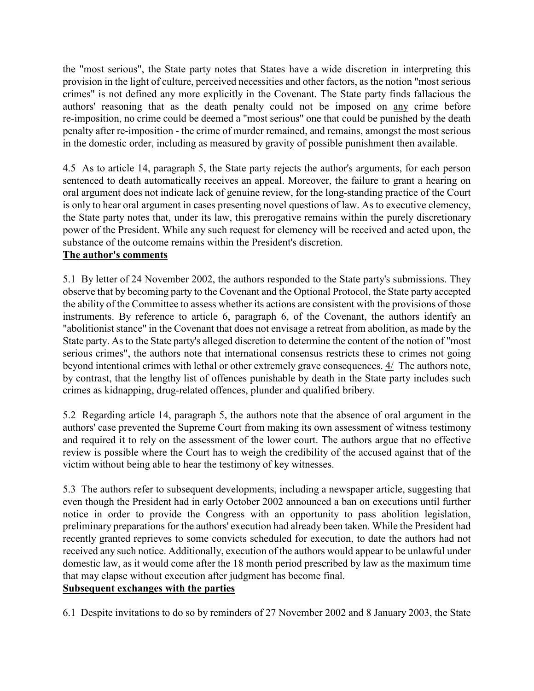the "most serious", the State party notes that States have a wide discretion in interpreting this provision in the light of culture, perceived necessities and other factors, as the notion "most serious crimes" is not defined any more explicitly in the Covenant. The State party finds fallacious the authors' reasoning that as the death penalty could not be imposed on any crime before re-imposition, no crime could be deemed a "most serious" one that could be punished by the death penalty after re-imposition - the crime of murder remained, and remains, amongst the most serious in the domestic order, including as measured by gravity of possible punishment then available.

4.5 As to article 14, paragraph 5, the State party rejects the author's arguments, for each person sentenced to death automatically receives an appeal. Moreover, the failure to grant a hearing on oral argument does not indicate lack of genuine review, for the long-standing practice of the Court is only to hear oral argument in cases presenting novel questions of law. As to executive clemency, the State party notes that, under its law, this prerogative remains within the purely discretionary power of the President. While any such request for clemency will be received and acted upon, the substance of the outcome remains within the President's discretion.

## The author's comments

5.1 By letter of 24 November 2002, the authors responded to the State party's submissions. They observe that by becoming party to the Covenant and the Optional Protocol, the State party accepted the ability of the Committee to assess whether its actions are consistent with the provisions of those instruments. By reference to article 6, paragraph 6, of the Covenant, the authors identify an "abolitionist stance" in the Covenant that does not envisage a retreat from abolition, as made by the State party. As to the State party's alleged discretion to determine the content of the notion of "most serious crimes", the authors note that international consensus restricts these to crimes not going beyond intentional crimes with lethal or other extremely grave consequences. 4/ The authors note, by contrast, that the lengthy list of offences punishable by death in the State party includes such crimes as kidnapping, drug-related offences, plunder and qualified bribery.

5.2 Regarding article 14, paragraph 5, the authors note that the absence of oral argument in the authors' case prevented the Supreme Court from making its own assessment of witness testimony and required it to rely on the assessment of the lower court. The authors argue that no effective review is possible where the Court has to weigh the credibility of the accused against that of the victim without being able to hear the testimony of key witnesses.

5.3 The authors refer to subsequent developments, including a newspaper article, suggesting that even though the President had in early October 2002 announced a ban on executions until further notice in order to provide the Congress with an opportunity to pass abolition legislation, preliminary preparations for the authors' execution had already been taken. While the President had recently granted reprieves to some convicts scheduled for execution, to date the authors had not received any such notice. Additionally, execution of the authors would appear to be unlawful under domestic law, as it would come after the 18 month period prescribed by law as the maximum time that may elapse without execution after judgment has become final.

# Subsequent exchanges with the parties

6.1 Despite invitations to do so by reminders of 27 November 2002 and 8 January 2003, the State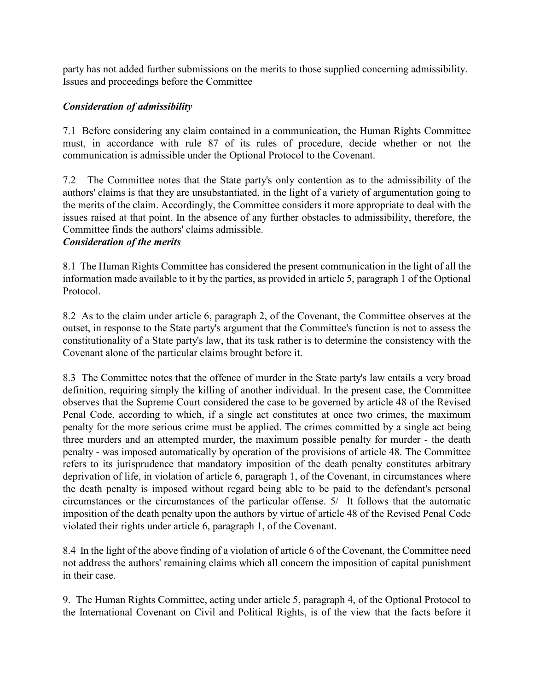party has not added further submissions on the merits to those supplied concerning admissibility. Issues and proceedings before the Committee

## Consideration of admissibility

7.1 Before considering any claim contained in a communication, the Human Rights Committee must, in accordance with rule 87 of its rules of procedure, decide whether or not the communication is admissible under the Optional Protocol to the Covenant.

7.2 The Committee notes that the State party's only contention as to the admissibility of the authors' claims is that they are unsubstantiated, in the light of a variety of argumentation going to the merits of the claim. Accordingly, the Committee considers it more appropriate to deal with the issues raised at that point. In the absence of any further obstacles to admissibility, therefore, the Committee finds the authors' claims admissible.

#### Consideration of the merits

8.1 The Human Rights Committee has considered the present communication in the light of all the information made available to it by the parties, as provided in article 5, paragraph 1 of the Optional Protocol.

8.2 As to the claim under article 6, paragraph 2, of the Covenant, the Committee observes at the outset, in response to the State party's argument that the Committee's function is not to assess the constitutionality of a State party's law, that its task rather is to determine the consistency with the Covenant alone of the particular claims brought before it.

8.3 The Committee notes that the offence of murder in the State party's law entails a very broad definition, requiring simply the killing of another individual. In the present case, the Committee observes that the Supreme Court considered the case to be governed by article 48 of the Revised Penal Code, according to which, if a single act constitutes at once two crimes, the maximum penalty for the more serious crime must be applied. The crimes committed by a single act being three murders and an attempted murder, the maximum possible penalty for murder - the death penalty - was imposed automatically by operation of the provisions of article 48. The Committee refers to its jurisprudence that mandatory imposition of the death penalty constitutes arbitrary deprivation of life, in violation of article 6, paragraph 1, of the Covenant, in circumstances where the death penalty is imposed without regard being able to be paid to the defendant's personal circumstances or the circumstances of the particular offense. 5/ It follows that the automatic imposition of the death penalty upon the authors by virtue of article 48 of the Revised Penal Code violated their rights under article 6, paragraph 1, of the Covenant.

8.4 In the light of the above finding of a violation of article 6 of the Covenant, the Committee need not address the authors' remaining claims which all concern the imposition of capital punishment in their case.

9. The Human Rights Committee, acting under article 5, paragraph 4, of the Optional Protocol to the International Covenant on Civil and Political Rights, is of the view that the facts before it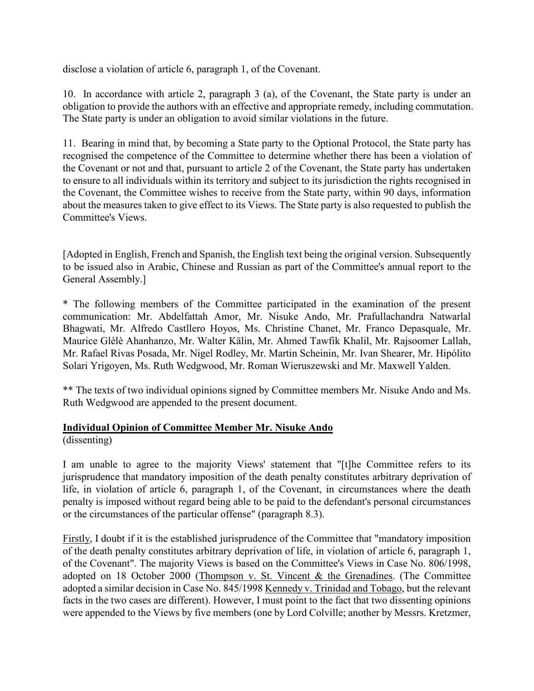disclose a violation of article 6, paragraph 1, of the Covenant.

10. In accordance with article 2, paragraph 3 (a), of the Covenant, the State party is under an obligation to provide the authors with an effective and appropriate remedy, including commutation. The State party is under an obligation to avoid similar violations in the future.

11. Bearing in mind that, by becoming a State party to the Optional Protocol, the State party has recognised the competence of the Committee to determine whether there has been a violation of the Covenant or not and that, pursuant to article 2 of the Covenant, the State party has undertaken to ensure to all individuals within its territory and subject to its jurisdiction the rights recognised in the Covenant, the Committee wishes to receive from the State party, within 90 days, information about the measures taken to give effect to its Views. The State party is also requested to publish the Committee's Views.

[Adopted in English, French and Spanish, the English text being the original version. Subsequently to be issued also in Arabic, Chinese and Russian as part of the Committee's annual report to the General Assembly.]

\* The following members of the Committee participated in the examination of the present communication: Mr. Abdelfattah Amor, Mr. Nisuke Ando, Mr. Prafullachandra Natwarlal Bhagwati, Mr. Alfredo Castllero Hoyos, Ms. Christine Chanet, Mr. Franco Depasquale, Mr. Maurice Glèlè Ahanhanzo, Mr. Walter Kälin, Mr. Ahmed Tawfik Khalil, Mr. Rajsoomer Lallah, Mr. Rafael Rivas Posada, Mr. Nigel Rodley, Mr. Martin Scheinin, Mr. Ivan Shearer, Mr. Hipólito Solari Yrigoyen, Ms. Ruth Wedgwood, Mr. Roman Wieruszewski and Mr. Maxwell Yalden.

\*\* The texts of two individual opinions signed by Committee members Mr. Nisuke Ando and Ms. Ruth Wedgwood are appended to the present document.

#### Individual Opinion of Committee Member Mr. Nisuke Ando

(dissenting)

I am unable to agree to the majority Views' statement that "[t]he Committee refers to its jurisprudence that mandatory imposition of the death penalty constitutes arbitrary deprivation of life, in violation of article 6, paragraph 1, of the Covenant, in circumstances where the death penalty is imposed without regard being able to be paid to the defendant's personal circumstances or the circumstances of the particular offense" (paragraph 8.3).

Firstly, I doubt if it is the established jurisprudence of the Committee that "mandatory imposition of the death penalty constitutes arbitrary deprivation of life, in violation of article 6, paragraph 1, of the Covenant". The majority Views is based on the Committee's Views in Case No. 806/1998, adopted on 18 October 2000 (Thompson v. St. Vincent & the Grenadines. (The Committee adopted a similar decision in Case No. 845/1998 Kennedy v. Trinidad and Tobago, but the relevant facts in the two cases are different). However, I must point to the fact that two dissenting opinions were appended to the Views by five members (one by Lord Colville; another by Messrs. Kretzmer,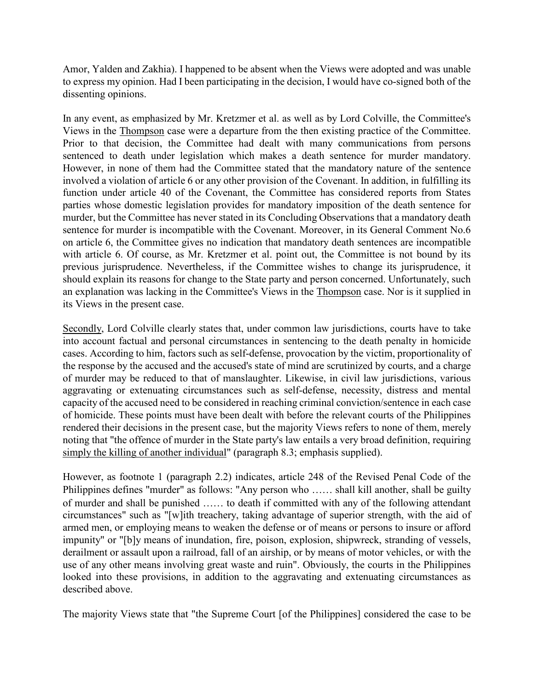Amor, Yalden and Zakhia). I happened to be absent when the Views were adopted and was unable to express my opinion. Had I been participating in the decision, I would have co-signed both of the dissenting opinions.

In any event, as emphasized by Mr. Kretzmer et al. as well as by Lord Colville, the Committee's Views in the Thompson case were a departure from the then existing practice of the Committee. Prior to that decision, the Committee had dealt with many communications from persons sentenced to death under legislation which makes a death sentence for murder mandatory. However, in none of them had the Committee stated that the mandatory nature of the sentence involved a violation of article 6 or any other provision of the Covenant. In addition, in fulfilling its function under article 40 of the Covenant, the Committee has considered reports from States parties whose domestic legislation provides for mandatory imposition of the death sentence for murder, but the Committee has never stated in its Concluding Observations that a mandatory death sentence for murder is incompatible with the Covenant. Moreover, in its General Comment No.6 on article 6, the Committee gives no indication that mandatory death sentences are incompatible with article 6. Of course, as Mr. Kretzmer et al. point out, the Committee is not bound by its previous jurisprudence. Nevertheless, if the Committee wishes to change its jurisprudence, it should explain its reasons for change to the State party and person concerned. Unfortunately, such an explanation was lacking in the Committee's Views in the Thompson case. Nor is it supplied in its Views in the present case.

Secondly, Lord Colville clearly states that, under common law jurisdictions, courts have to take into account factual and personal circumstances in sentencing to the death penalty in homicide cases. According to him, factors such as self-defense, provocation by the victim, proportionality of the response by the accused and the accused's state of mind are scrutinized by courts, and a charge of murder may be reduced to that of manslaughter. Likewise, in civil law jurisdictions, various aggravating or extenuating circumstances such as self-defense, necessity, distress and mental capacity of the accused need to be considered in reaching criminal conviction/sentence in each case of homicide. These points must have been dealt with before the relevant courts of the Philippines rendered their decisions in the present case, but the majority Views refers to none of them, merely noting that "the offence of murder in the State party's law entails a very broad definition, requiring simply the killing of another individual" (paragraph 8.3; emphasis supplied).

However, as footnote 1 (paragraph 2.2) indicates, article 248 of the Revised Penal Code of the Philippines defines "murder" as follows: "Any person who …… shall kill another, shall be guilty of murder and shall be punished …… to death if committed with any of the following attendant circumstances" such as "[w]ith treachery, taking advantage of superior strength, with the aid of armed men, or employing means to weaken the defense or of means or persons to insure or afford impunity" or "[b]y means of inundation, fire, poison, explosion, shipwreck, stranding of vessels, derailment or assault upon a railroad, fall of an airship, or by means of motor vehicles, or with the use of any other means involving great waste and ruin". Obviously, the courts in the Philippines looked into these provisions, in addition to the aggravating and extenuating circumstances as described above.

The majority Views state that "the Supreme Court [of the Philippines] considered the case to be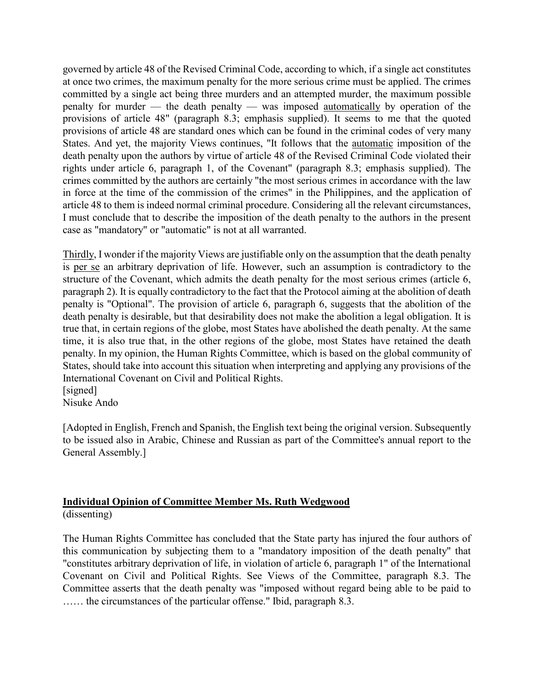governed by article 48 of the Revised Criminal Code, according to which, if a single act constitutes at once two crimes, the maximum penalty for the more serious crime must be applied. The crimes committed by a single act being three murders and an attempted murder, the maximum possible penalty for murder –– the death penalty –– was imposed automatically by operation of the provisions of article 48" (paragraph 8.3; emphasis supplied). It seems to me that the quoted provisions of article 48 are standard ones which can be found in the criminal codes of very many States. And yet, the majority Views continues, "It follows that the automatic imposition of the death penalty upon the authors by virtue of article 48 of the Revised Criminal Code violated their rights under article 6, paragraph 1, of the Covenant" (paragraph 8.3; emphasis supplied). The crimes committed by the authors are certainly "the most serious crimes in accordance with the law in force at the time of the commission of the crimes" in the Philippines, and the application of article 48 to them is indeed normal criminal procedure. Considering all the relevant circumstances, I must conclude that to describe the imposition of the death penalty to the authors in the present case as "mandatory" or "automatic" is not at all warranted.

Thirdly, I wonder if the majority Views are justifiable only on the assumption that the death penalty is per se an arbitrary deprivation of life. However, such an assumption is contradictory to the structure of the Covenant, which admits the death penalty for the most serious crimes (article 6, paragraph 2). It is equally contradictory to the fact that the Protocol aiming at the abolition of death penalty is "Optional". The provision of article 6, paragraph 6, suggests that the abolition of the death penalty is desirable, but that desirability does not make the abolition a legal obligation. It is true that, in certain regions of the globe, most States have abolished the death penalty. At the same time, it is also true that, in the other regions of the globe, most States have retained the death penalty. In my opinion, the Human Rights Committee, which is based on the global community of States, should take into account this situation when interpreting and applying any provisions of the International Covenant on Civil and Political Rights.

[signed] Nisuke Ando

[Adopted in English, French and Spanish, the English text being the original version. Subsequently to be issued also in Arabic, Chinese and Russian as part of the Committee's annual report to the General Assembly.]

## Individual Opinion of Committee Member Ms. Ruth Wedgwood

(dissenting)

The Human Rights Committee has concluded that the State party has injured the four authors of this communication by subjecting them to a "mandatory imposition of the death penalty" that "constitutes arbitrary deprivation of life, in violation of article 6, paragraph 1" of the International Covenant on Civil and Political Rights. See Views of the Committee, paragraph 8.3. The Committee asserts that the death penalty was "imposed without regard being able to be paid to …… the circumstances of the particular offense." Ibid, paragraph 8.3.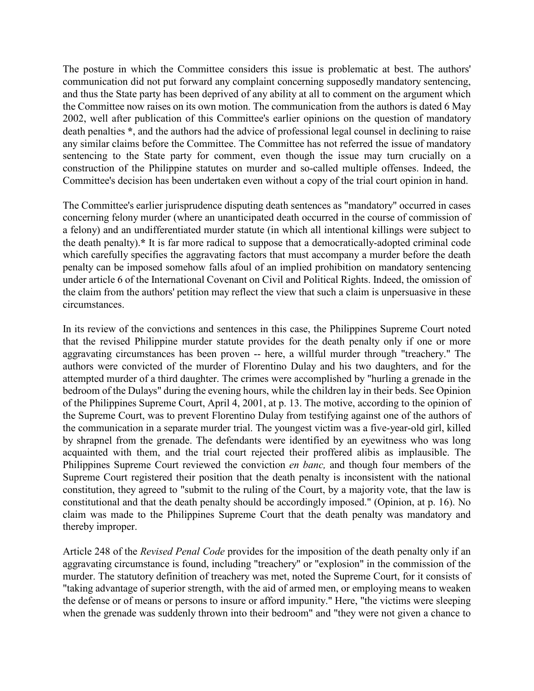The posture in which the Committee considers this issue is problematic at best. The authors' communication did not put forward any complaint concerning supposedly mandatory sentencing, and thus the State party has been deprived of any ability at all to comment on the argument which the Committee now raises on its own motion. The communication from the authors is dated 6 May 2002, well after publication of this Committee's earlier opinions on the question of mandatory death penalties \*, and the authors had the advice of professional legal counsel in declining to raise any similar claims before the Committee. The Committee has not referred the issue of mandatory sentencing to the State party for comment, even though the issue may turn crucially on a construction of the Philippine statutes on murder and so-called multiple offenses. Indeed, the Committee's decision has been undertaken even without a copy of the trial court opinion in hand.

The Committee's earlier jurisprudence disputing death sentences as "mandatory" occurred in cases concerning felony murder (where an unanticipated death occurred in the course of commission of a felony) and an undifferentiated murder statute (in which all intentional killings were subject to the death penalty).\* It is far more radical to suppose that a democratically-adopted criminal code which carefully specifies the aggravating factors that must accompany a murder before the death penalty can be imposed somehow falls afoul of an implied prohibition on mandatory sentencing under article 6 of the International Covenant on Civil and Political Rights. Indeed, the omission of the claim from the authors' petition may reflect the view that such a claim is unpersuasive in these circumstances.

In its review of the convictions and sentences in this case, the Philippines Supreme Court noted that the revised Philippine murder statute provides for the death penalty only if one or more aggravating circumstances has been proven -- here, a willful murder through "treachery." The authors were convicted of the murder of Florentino Dulay and his two daughters, and for the attempted murder of a third daughter. The crimes were accomplished by "hurling a grenade in the bedroom of the Dulays" during the evening hours, while the children lay in their beds. See Opinion of the Philippines Supreme Court, April 4, 2001, at p. 13. The motive, according to the opinion of the Supreme Court, was to prevent Florentino Dulay from testifying against one of the authors of the communication in a separate murder trial. The youngest victim was a five-year-old girl, killed by shrapnel from the grenade. The defendants were identified by an eyewitness who was long acquainted with them, and the trial court rejected their proffered alibis as implausible. The Philippines Supreme Court reviewed the conviction en banc, and though four members of the Supreme Court registered their position that the death penalty is inconsistent with the national constitution, they agreed to "submit to the ruling of the Court, by a majority vote, that the law is constitutional and that the death penalty should be accordingly imposed." (Opinion, at p. 16). No claim was made to the Philippines Supreme Court that the death penalty was mandatory and thereby improper.

Article 248 of the Revised Penal Code provides for the imposition of the death penalty only if an aggravating circumstance is found, including "treachery" or "explosion" in the commission of the murder. The statutory definition of treachery was met, noted the Supreme Court, for it consists of "taking advantage of superior strength, with the aid of armed men, or employing means to weaken the defense or of means or persons to insure or afford impunity." Here, "the victims were sleeping when the grenade was suddenly thrown into their bedroom" and "they were not given a chance to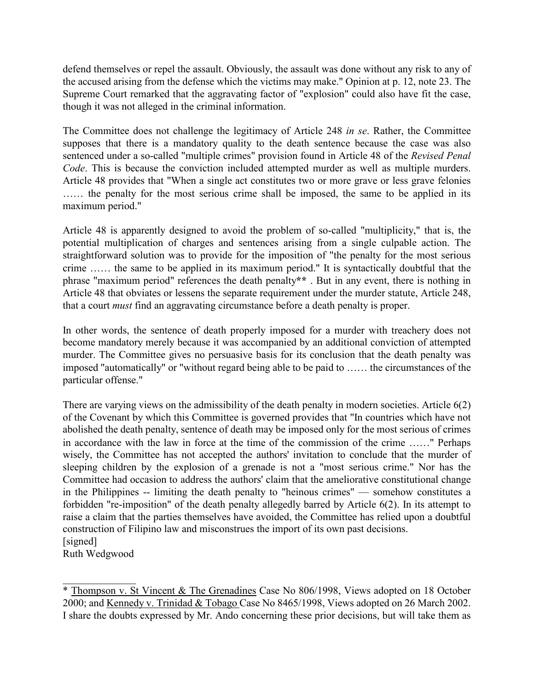defend themselves or repel the assault. Obviously, the assault was done without any risk to any of the accused arising from the defense which the victims may make." Opinion at p. 12, note 23. The Supreme Court remarked that the aggravating factor of "explosion" could also have fit the case, though it was not alleged in the criminal information.

The Committee does not challenge the legitimacy of Article 248 in se. Rather, the Committee supposes that there is a mandatory quality to the death sentence because the case was also sentenced under a so-called "multiple crimes" provision found in Article 48 of the Revised Penal Code. This is because the conviction included attempted murder as well as multiple murders. Article 48 provides that "When a single act constitutes two or more grave or less grave felonies …… the penalty for the most serious crime shall be imposed, the same to be applied in its maximum period."

Article 48 is apparently designed to avoid the problem of so-called "multiplicity," that is, the potential multiplication of charges and sentences arising from a single culpable action. The straightforward solution was to provide for the imposition of "the penalty for the most serious crime …… the same to be applied in its maximum period." It is syntactically doubtful that the phrase "maximum period" references the death penalty\*\* . But in any event, there is nothing in Article 48 that obviates or lessens the separate requirement under the murder statute, Article 248, that a court must find an aggravating circumstance before a death penalty is proper.

In other words, the sentence of death properly imposed for a murder with treachery does not become mandatory merely because it was accompanied by an additional conviction of attempted murder. The Committee gives no persuasive basis for its conclusion that the death penalty was imposed "automatically" or "without regard being able to be paid to …… the circumstances of the particular offense."

There are varying views on the admissibility of the death penalty in modern societies. Article 6(2) of the Covenant by which this Committee is governed provides that "In countries which have not abolished the death penalty, sentence of death may be imposed only for the most serious of crimes in accordance with the law in force at the time of the commission of the crime ……" Perhaps wisely, the Committee has not accepted the authors' invitation to conclude that the murder of sleeping children by the explosion of a grenade is not a "most serious crime." Nor has the Committee had occasion to address the authors' claim that the ameliorative constitutional change in the Philippines -- limiting the death penalty to "heinous crimes" –– somehow constitutes a forbidden "re-imposition" of the death penalty allegedly barred by Article 6(2). In its attempt to raise a claim that the parties themselves have avoided, the Committee has relied upon a doubtful construction of Filipino law and misconstrues the import of its own past decisions. [signed]

Ruth Wedgwood

 $\mathcal{L}$  , we have the set of the set of the set of the set of the set of the set of the set of the set of the set of the set of the set of the set of the set of the set of the set of the set of the set of the set of the

<sup>\*</sup> Thompson v. St Vincent & The Grenadines Case No 806/1998, Views adopted on 18 October 2000; and Kennedy v. Trinidad & Tobago Case No 8465/1998, Views adopted on 26 March 2002. I share the doubts expressed by Mr. Ando concerning these prior decisions, but will take them as